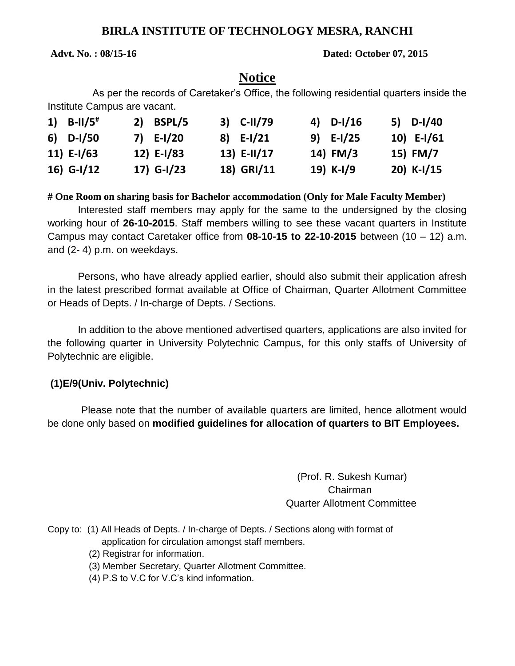# **BIRLA INSTITUTE OF TECHNOLOGY MESRA, RANCHI**

#### **Advt. No. : 08/15-16 Dated: October 07, 2015**

# **Notice**

 As per the records of Caretaker's Office, the following residential quarters inside the Institute Campus are vacant.

| 1) $B-11/5$ <sup>#</sup> | 2) BSPL/5   | 3) C-II/79  | 4) $D-I/16$ | 5) $D-I/40$ |
|--------------------------|-------------|-------------|-------------|-------------|
| $6)$ D-I/50              | 7) $E-I/20$ | $8)$ E-I/21 | $9)$ E-I/25 | 10) E-I/61  |
| 11) $E-I/63$             | 12) E-I/83  | 13) E-II/17 | 14) FM/3    | 15) FM/7    |
| 16) $G-I/12$             | 17) G-I/23  | 18) GRI/11  | 19) K-I/9   | 20) K-I/15  |

**# One Room on sharing basis for Bachelor accommodation (Only for Male Faculty Member)**

Interested staff members may apply for the same to the undersigned by the closing working hour of **26-10-2015**. Staff members willing to see these vacant quarters in Institute Campus may contact Caretaker office from **08-10-15 to 22-10-2015** between (10 – 12) a.m. and (2- 4) p.m. on weekdays.

Persons, who have already applied earlier, should also submit their application afresh in the latest prescribed format available at Office of Chairman, Quarter Allotment Committee or Heads of Depts. / In-charge of Depts. / Sections.

In addition to the above mentioned advertised quarters, applications are also invited for the following quarter in University Polytechnic Campus, for this only staffs of University of Polytechnic are eligible.

## **(1)E/9(Univ. Polytechnic)**

 Please note that the number of available quarters are limited, hence allotment would be done only based on **modified guidelines for allocation of quarters to BIT Employees.** 

> (Prof. R. Sukesh Kumar) Chairman Quarter Allotment Committee

- Copy to: (1) All Heads of Depts. / In-charge of Depts. / Sections along with format of application for circulation amongst staff members.
	- (2) Registrar for information.
	- (3) Member Secretary, Quarter Allotment Committee.
	- (4) P.S to V.C for V.C's kind information.